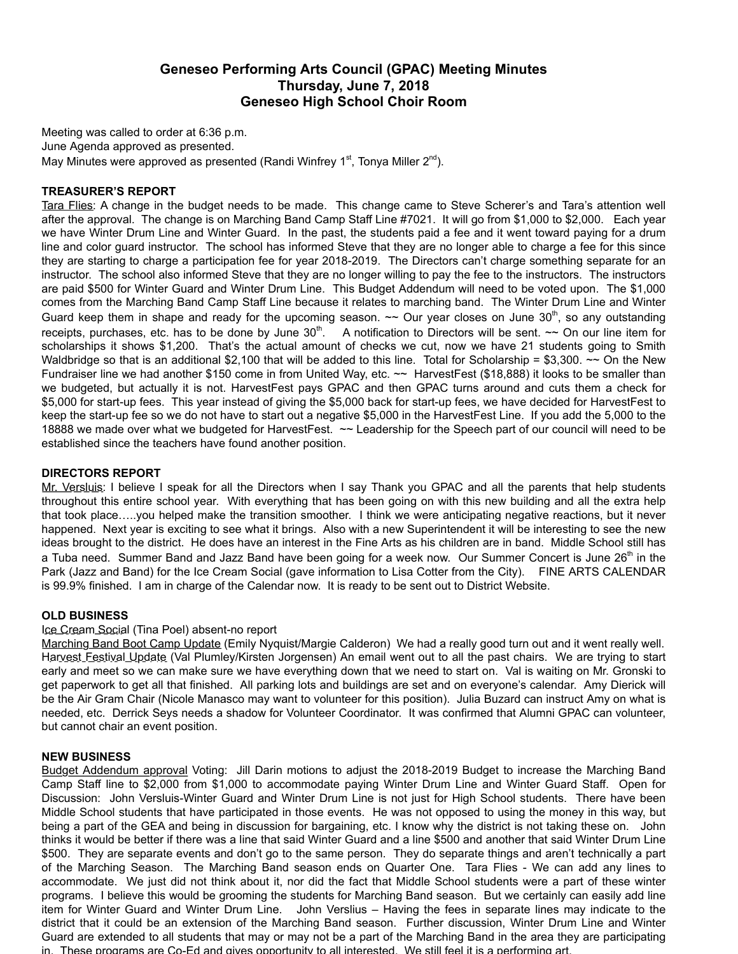# **Geneseo Performing Arts Council (GPAC) Meeting Minutes Thursday, June 7, 2018 Geneseo High School Choir Room**

Meeting was called to order at 6:36 p.m. June Agenda approved as presented. May Minutes were approved as presented (Randi Winfrey 1<sup>st</sup>, Tonya Miller 2<sup>nd</sup>).

## **TREASURER'S REPORT**

Tara Flies: A change in the budget needs to be made. This change came to Steve Scherer's and Tara's attention well after the approval. The change is on Marching Band Camp Staff Line #7021. It will go from \$1,000 to \$2,000. Each year we have Winter Drum Line and Winter Guard. In the past, the students paid a fee and it went toward paying for a drum line and color guard instructor. The school has informed Steve that they are no longer able to charge a fee for this since they are starting to charge a participation fee for year 2018-2019. The Directors can't charge something separate for an instructor. The school also informed Steve that they are no longer willing to pay the fee to the instructors. The instructors are paid \$500 for Winter Guard and Winter Drum Line. This Budget Addendum will need to be voted upon. The \$1,000 comes from the Marching Band Camp Staff Line because it relates to marching band. The Winter Drum Line and Winter Guard keep them in shape and ready for the upcoming season.  $\sim$  Our year closes on June 30<sup>th</sup>, so any outstanding receipts, purchases, etc. has to be done by June  $30<sup>th</sup>$ . A notification to Directors will be sent.  $\sim$  On our line item for scholarships it shows \$1,200. That's the actual amount of checks we cut, now we have 21 students going to Smith Waldbridge so that is an additional \$2,100 that will be added to this line. Total for Scholarship = \$3,300.  $\sim$  On the New Fundraiser line we had another \$150 come in from United Way, etc. ~~ HarvestFest (\$18,888) it looks to be smaller than we budgeted, but actually it is not. HarvestFest pays GPAC and then GPAC turns around and cuts them a check for \$5,000 for start-up fees. This year instead of giving the \$5,000 back for start-up fees, we have decided for HarvestFest to keep the start-up fee so we do not have to start out a negative \$5,000 in the HarvestFest Line. If you add the 5,000 to the 18888 we made over what we budgeted for HarvestFest. ~~ Leadership for the Speech part of our council will need to be established since the teachers have found another position.

### **DIRECTORS REPORT**

Mr. Versluis: I believe I speak for all the Directors when I say Thank you GPAC and all the parents that help students throughout this entire school year. With everything that has been going on with this new building and all the extra help that took place…..you helped make the transition smoother. I think we were anticipating negative reactions, but it never happened. Next year is exciting to see what it brings. Also with a new Superintendent it will be interesting to see the new ideas brought to the district. He does have an interest in the Fine Arts as his children are in band. Middle School still has a Tuba need. Summer Band and Jazz Band have been going for a week now. Our Summer Concert is June 26<sup>th</sup> in the Park (Jazz and Band) for the Ice Cream Social (gave information to Lisa Cotter from the City). FINE ARTS CALENDAR is 99.9% finished. I am in charge of the Calendar now. It is ready to be sent out to District Website.

#### **OLD BUSINESS**

#### Ice Cream Social (Tina Poel) absent-no report

Marching Band Boot Camp Update (Emily Nyquist/Margie Calderon) We had a really good turn out and it went really well. Harvest Festival Update (Val Plumley/Kirsten Jorgensen) An email went out to all the past chairs. We are trying to start early and meet so we can make sure we have everything down that we need to start on. Val is waiting on Mr. Gronski to get paperwork to get all that finished. All parking lots and buildings are set and on everyone's calendar. Amy Dierick will be the Air Gram Chair (Nicole Manasco may want to volunteer for this position). Julia Buzard can instruct Amy on what is needed, etc. Derrick Seys needs a shadow for Volunteer Coordinator. It was confirmed that Alumni GPAC can volunteer, but cannot chair an event position.

#### **NEW BUSINESS**

Budget Addendum approval Voting: Jill Darin motions to adjust the 2018-2019 Budget to increase the Marching Band Camp Staff line to \$2,000 from \$1,000 to accommodate paying Winter Drum Line and Winter Guard Staff. Open for Discussion: John Versluis-Winter Guard and Winter Drum Line is not just for High School students. There have been Middle School students that have participated in those events. He was not opposed to using the money in this way, but being a part of the GEA and being in discussion for bargaining, etc. I know why the district is not taking these on. John thinks it would be better if there was a line that said Winter Guard and a line \$500 and another that said Winter Drum Line \$500. They are separate events and don't go to the same person. They do separate things and aren't technically a part of the Marching Season. The Marching Band season ends on Quarter One. Tara Flies - We can add any lines to accommodate. We just did not think about it, nor did the fact that Middle School students were a part of these winter programs. I believe this would be grooming the students for Marching Band season. But we certainly can easily add line item for Winter Guard and Winter Drum Line. John Verslius – Having the fees in separate lines may indicate to the district that it could be an extension of the Marching Band season. Further discussion, Winter Drum Line and Winter Guard are extended to all students that may or may not be a part of the Marching Band in the area they are participating in. These programs are Co-Ed and gives opportunity to all interested. We still feel it is a performing art.